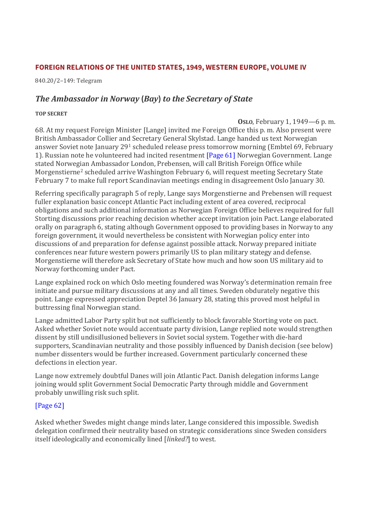## **FOREIGN RELATIONS OF THE UNITED STATES, 1949, WESTERN EUROPE, VOLUME IV**

840.20/2–149: Telegram

## *The Ambassador in Norway* **(***Bay***)** *to the Secretary of State*

## **TOP SECRET**

**OSLO**, February 1, 1949—6 p. m. 68. At my request Foreign Minister [Lange] invited me Foreign Office this p. m. Also present were British Ambassador Collier and Secretary General Skylstad. Lange handed us text Norwegian answer Soviet note January 29<sup>1</sup> scheduled release press tomorrow morning (Embtel 69, February 1). Russian note he volunteered had incited resentment [\[Page 61\]](https://history.state.gov/historicaldocuments/frus1949v04/pg_61) Norwegian Government. Lange stated Norwegian Ambassador London, Prebensen, will call British Foreign Office while Morgenstierne<sup>2</sup> scheduled arrive Washington February 6, will request meeting Secretary State February 7 to make full report Scandinavian meetings ending in disagreement Oslo January 30.

Referring specifically paragraph 5 of reply, Lange says Morgenstierne and Prebensen will request fuller explanation basic concept Atlantic Pact including extent of area covered, reciprocal obligations and such additional information as Norwegian Foreign Office believes required for full Storting discussions prior reaching decision whether accept invitation join Pact. Lange elaborated orally on paragraph 6, stating although Government opposed to providing bases in Norway to any foreign government, it would nevertheless be consistent with Norwegian policy enter into discussions of and preparation for defense against possible attack. Norway prepared initiate conferences near future western powers primarily US to plan military stategy and defense. Morgenstierne will therefore ask Secretary of State how much and how soon US military aid to Norway forthcoming under Pact.

Lange explained rock on which Oslo meeting foundered was Norway's determination remain free initiate and pursue military discussions at any and all times. Sweden obdurately negative this point. Lange expressed appreciation Deptel 36 January 28, stating this proved most helpful in buttressing final Norwegian stand.

Lange admitted Labor Party split but not sufficiently to block favorable Storting vote on pact. Asked whether Soviet note would accentuate party division, Lange replied note would strengthen dissent by still undisillusioned believers in Soviet social system. Together with die-hard supporters, Scandinavian neutrality and those possibly influenced by Danish decision (see below) number dissenters would be further increased. Government particularly concerned these defections in election year.

Lange now extremely doubtful Danes will join Atlantic Pact. Danish delegation informs Lange joining would split Government Social Democratic Party through middle and Government probably unwilling risk such split.

## [\[Page 62\]](https://history.state.gov/historicaldocuments/frus1949v04/pg_62)

Asked whether Swedes might change minds later, Lange considered this impossible. Swedish delegation confirmed their neutrality based on strategic considerations since Sweden considers itself ideologically and economically lined [*linked?*] to west.